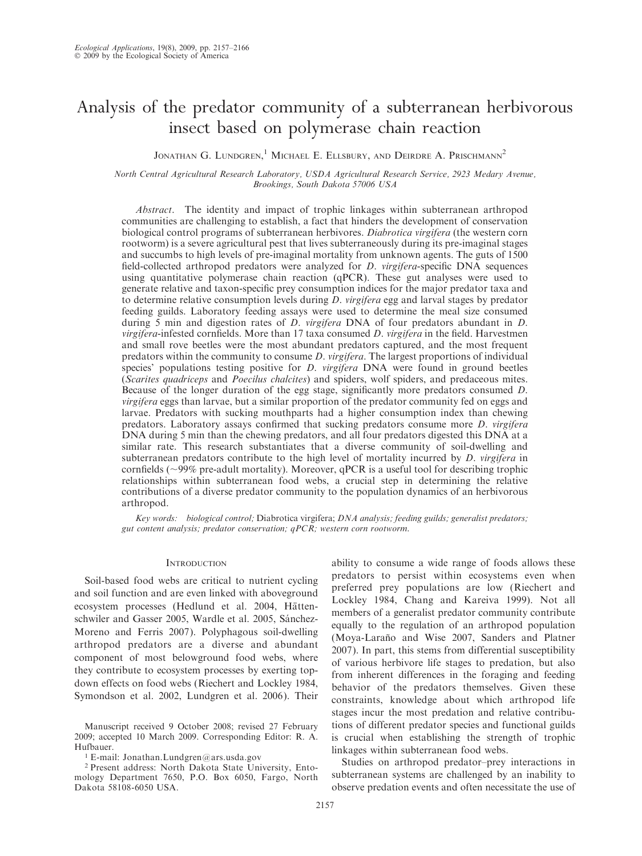# Analysis of the predator community of a subterranean herbivorous insect based on polymerase chain reaction

Jonathan G. Lundgren, $^1$  Michael E. Ellsbury, and Deirdre A. Prischmann $^2$ 

North Central Agricultural Research Laboratory, USDA Agricultural Research Service, 2923 Medary Avenue, Brookings, South Dakota 57006 USA

Abstract. The identity and impact of trophic linkages within subterranean arthropod communities are challenging to establish, a fact that hinders the development of conservation biological control programs of subterranean herbivores. Diabrotica virgifera (the western corn rootworm) is a severe agricultural pest that lives subterraneously during its pre-imaginal stages and succumbs to high levels of pre-imaginal mortality from unknown agents. The guts of 1500 field-collected arthropod predators were analyzed for *D. virgifera*-specific DNA sequences using quantitative polymerase chain reaction (qPCR). These gut analyses were used to generate relative and taxon-specific prey consumption indices for the major predator taxa and to determine relative consumption levels during  $\ddot{D}$ , *virgifera* egg and larval stages by predator feeding guilds. Laboratory feeding assays were used to determine the meal size consumed during 5 min and digestion rates of D. *virgifera* DNA of four predators abundant in D. *virgifera*-infested cornfields. More than 17 taxa consumed  $D$ . *virgifera* in the field. Harvestmen and small rove beetles were the most abundant predators captured, and the most frequent predators within the community to consume D. virgifera. The largest proportions of individual species' populations testing positive for D. *virgifera* DNA were found in ground beetles (Scarites quadriceps and Poecilus chalcites) and spiders, wolf spiders, and predaceous mites. Because of the longer duration of the egg stage, significantly more predators consumed D. virgifera eggs than larvae, but a similar proportion of the predator community fed on eggs and larvae. Predators with sucking mouthparts had a higher consumption index than chewing predators. Laboratory assays confirmed that sucking predators consume more *D. virgifera* DNA during 5 min than the chewing predators, and all four predators digested this DNA at a similar rate. This research substantiates that a diverse community of soil-dwelling and subterranean predators contribute to the high level of mortality incurred by D. virgifera in cornfields ( $\sim$ 99% pre-adult mortality). Moreover, qPCR is a useful tool for describing trophic relationships within subterranean food webs, a crucial step in determining the relative contributions of a diverse predator community to the population dynamics of an herbivorous arthropod.

Key words: biological control; Diabrotica virgifera; DNA analysis; feeding guilds; generalist predators; gut content analysis; predator conservation; qPCR; western corn rootworm.

# **INTRODUCTION**

Soil-based food webs are critical to nutrient cycling and soil function and are even linked with aboveground ecosystem processes (Hedlund et al. 2004, Hättenschwiler and Gasser 2005, Wardle et al. 2005, Sánchez-Moreno and Ferris 2007). Polyphagous soil-dwelling arthropod predators are a diverse and abundant component of most belowground food webs, where they contribute to ecosystem processes by exerting topdown effects on food webs (Riechert and Lockley 1984, Symondson et al. 2002, Lundgren et al. 2006). Their ability to consume a wide range of foods allows these predators to persist within ecosystems even when preferred prey populations are low (Riechert and Lockley 1984, Chang and Kareiva 1999). Not all members of a generalist predator community contribute equally to the regulation of an arthropod population (Moya-Laraño and Wise 2007, Sanders and Platner 2007). In part, this stems from differential susceptibility of various herbivore life stages to predation, but also from inherent differences in the foraging and feeding behavior of the predators themselves. Given these constraints, knowledge about which arthropod life stages incur the most predation and relative contributions of different predator species and functional guilds is crucial when establishing the strength of trophic linkages within subterranean food webs.

Studies on arthropod predator–prey interactions in subterranean systems are challenged by an inability to observe predation events and often necessitate the use of

Manuscript received 9 October 2008; revised 27 February 2009; accepted 10 March 2009. Corresponding Editor: R. A. Hufbauer.

<sup>1</sup> E-mail: Jonathan.Lundgren@ars.usda.gov

<sup>2</sup> Present address: North Dakota State University, Entomology Department 7650, P.O. Box 6050, Fargo, North Dakota 58108-6050 USA.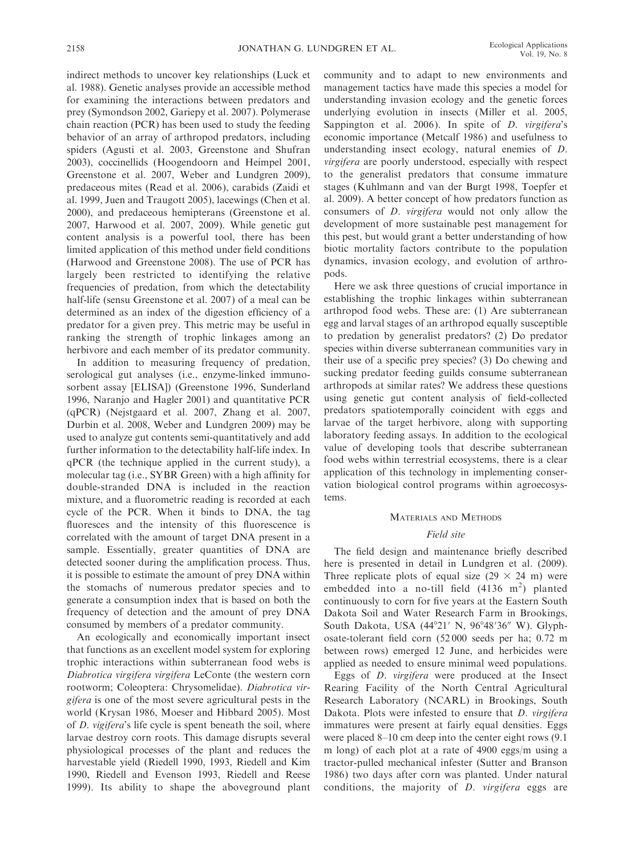indirect methods to uncover key relationships (Luck et al. 1988). Genetic analyses provide an accessible method for examining the interactions between predators and prey (Symondson 2002, Gariepy et al. 2007). Polymerase chain reaction (PCR) has been used to study the feeding behavior of an array of arthropod predators, including spiders (Agusti et al. 2003, Greenstone and Shufran 2003), coccinellids (Hoogendoorn and Heimpel 2001, Greenstone et al. 2007, Weber and Lundgren 2009), predaceous mites (Read et al. 2006), carabids (Zaidi et al. 1999, Juen and Traugott 2005), lacewings (Chen et al. 2000), and predaceous hemipterans (Greenstone et al. 2007, Harwood et al. 2007, 2009). While genetic gut content analysis is a powerful tool, there has been limited application of this method under field conditions (Harwood and Greenstone 2008). The use of PCR has largely been restricted to identifying the relative frequencies of predation, from which the detectability half-life (sensu Greenstone et al. 2007) of a meal can be determined as an index of the digestion efficiency of a predator for a given prey. This metric may be useful in ranking the strength of trophic linkages among an herbivore and each member of its predator community.

In addition to measuring frequency of predation, serological gut analyses (i.e., enzyme-linked immunosorbent assay [ELISA]) (Greenstone 1996, Sunderland 1996, Naranjo and Hagler 2001) and quantitative PCR (qPCR) (Nejstgaard et al. 2007, Zhang et al. 2007, Durbin et al. 2008, Weber and Lundgren 2009) may be used to analyze gut contents semi-quantitatively and add further information to the detectability half-life index. In qPCR (the technique applied in the current study), a molecular tag (i.e., SYBR Green) with a high affinity for double-stranded DNA is included in the reaction mixture, and a fluorometric reading is recorded at each cycle of the PCR. When it binds to DNA, the tag fluoresces and the intensity of this fluorescence is correlated with the amount of target DNA present in a sample. Essentially, greater quantities of DNA are detected sooner during the amplification process. Thus, it is possible to estimate the amount of prey DNA within the stomachs of numerous predator species and to generate a consumption index that is based on both the frequency of detection and the amount of prey DNA consumed by members of a predator community.

An ecologically and economically important insect that functions as an excellent model system for exploring trophic interactions within subterranean food webs is Diabrotica virgifera virgifera LeConte (the western corn rootworm; Coleoptera: Chrysomelidae). Diabrotica virgifera is one of the most severe agricultural pests in the world (Krysan 1986, Moeser and Hibbard 2005). Most of D. vigifera's life cycle is spent beneath the soil, where larvae destroy corn roots. This damage disrupts several physiological processes of the plant and reduces the harvestable yield (Riedell 1990, 1993, Riedell and Kim 1990, Riedell and Evenson 1993, Riedell and Reese 1999). Its ability to shape the aboveground plant community and to adapt to new environments and management tactics have made this species a model for understanding invasion ecology and the genetic forces underlying evolution in insects (Miller et al. 2005, Sappington et al. 2006). In spite of D. virgifera's economic importance (Metcalf 1986) and usefulness to understanding insect ecology, natural enemies of D. virgifera are poorly understood, especially with respect to the generalist predators that consume immature stages (Kuhlmann and van der Burgt 1998, Toepfer et al. 2009). A better concept of how predators function as consumers of D. virgifera would not only allow the development of more sustainable pest management for this pest, but would grant a better understanding of how biotic mortality factors contribute to the population dynamics, invasion ecology, and evolution of arthropods.

Here we ask three questions of crucial importance in establishing the trophic linkages within subterranean arthropod food webs. These are: (1) Are subterranean egg and larval stages of an arthropod equally susceptible to predation by generalist predators? (2) Do predator species within diverse subterranean communities vary in their use of a specific prey species? (3) Do chewing and sucking predator feeding guilds consume subterranean arthropods at similar rates? We address these questions using genetic gut content analysis of field-collected predators spatiotemporally coincident with eggs and larvae of the target herbivore, along with supporting laboratory feeding assays. In addition to the ecological value of developing tools that describe subterranean food webs within terrestrial ecosystems, there is a clear application of this technology in implementing conservation biological control programs within agroecosystems.

# MATERIALS AND METHODS

# Field site

The field design and maintenance briefly described here is presented in detail in Lundgren et al. (2009). Three replicate plots of equal size (29  $\times$  24 m) were embedded into a no-till field  $(4136 \text{ m}^2)$  planted continuously to corn for five years at the Eastern South Dakota Soil and Water Research Farm in Brookings, South Dakota, USA (44°21′ N, 96°48′36″ W). Glyphosate-tolerant field corn (52 000 seeds per ha; 0.72 m between rows) emerged 12 June, and herbicides were applied as needed to ensure minimal weed populations.

Eggs of D. virgifera were produced at the Insect Rearing Facility of the North Central Agricultural Research Laboratory (NCARL) in Brookings, South Dakota. Plots were infested to ensure that D. virgifera immatures were present at fairly equal densities. Eggs were placed 8–10 cm deep into the center eight rows (9.1 m long) of each plot at a rate of 4900 eggs/m using a tractor-pulled mechanical infester (Sutter and Branson 1986) two days after corn was planted. Under natural conditions, the majority of D. virgifera eggs are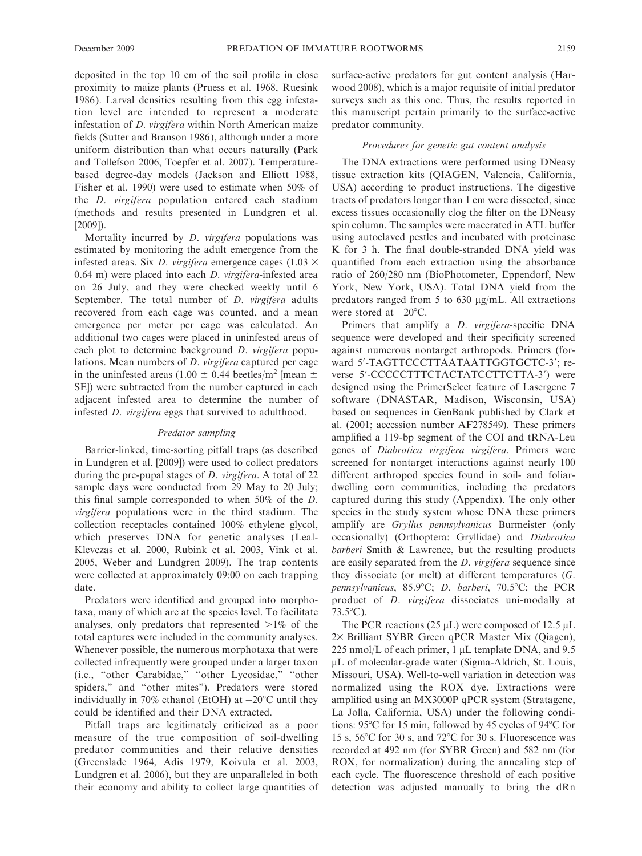deposited in the top 10 cm of the soil profile in close proximity to maize plants (Pruess et al. 1968, Ruesink 1986). Larval densities resulting from this egg infestation level are intended to represent a moderate infestation of D. virgifera within North American maize fields (Sutter and Branson 1986), although under a more uniform distribution than what occurs naturally (Park and Tollefson 2006, Toepfer et al. 2007). Temperaturebased degree-day models (Jackson and Elliott 1988, Fisher et al. 1990) were used to estimate when 50% of the *D. virgifera* population entered each stadium (methods and results presented in Lundgren et al. [2009]).

Mortality incurred by  $D$ . virgifera populations was estimated by monitoring the adult emergence from the infested areas. Six *D. virgifera* emergence cages (1.03  $\times$  $0.64$  m) were placed into each *D. virgifera*-infested area on 26 July, and they were checked weekly until 6 September. The total number of *D. virgifera* adults recovered from each cage was counted, and a mean emergence per meter per cage was calculated. An additional two cages were placed in uninfested areas of each plot to determine background D. virgifera populations. Mean numbers of *D. virgifera* captured per cage in the uninfested areas (1.00  $\pm$  0.44 beetles/m<sup>2</sup> [mean  $\pm$ SE]) were subtracted from the number captured in each adjacent infested area to determine the number of infested D. virgifera eggs that survived to adulthood.

# Predator sampling

Barrier-linked, time-sorting pitfall traps (as described in Lundgren et al. [2009]) were used to collect predators during the pre-pupal stages of D. virgifera. A total of 22 sample days were conducted from 29 May to 20 July; this final sample corresponded to when 50% of the D. virgifera populations were in the third stadium. The collection receptacles contained 100% ethylene glycol, which preserves DNA for genetic analyses (Leal-Klevezas et al. 2000, Rubink et al. 2003, Vink et al. 2005, Weber and Lundgren 2009). The trap contents were collected at approximately 09:00 on each trapping date.

Predators were identified and grouped into morphotaxa, many of which are at the species level. To facilitate analyses, only predators that represented  $>1\%$  of the total captures were included in the community analyses. Whenever possible, the numerous morphotaxa that were collected infrequently were grouped under a larger taxon (i.e., ''other Carabidae,'' ''other Lycosidae,'' ''other spiders,'' and ''other mites''). Predators were stored individually in 70% ethanol (EtOH) at  $-20^{\circ}$ C until they could be identified and their DNA extracted.

Pitfall traps are legitimately criticized as a poor measure of the true composition of soil-dwelling predator communities and their relative densities (Greenslade 1964, Adis 1979, Koivula et al. 2003, Lundgren et al. 2006), but they are unparalleled in both their economy and ability to collect large quantities of surface-active predators for gut content analysis (Harwood 2008), which is a major requisite of initial predator surveys such as this one. Thus, the results reported in this manuscript pertain primarily to the surface-active predator community.

# Procedures for genetic gut content analysis

The DNA extractions were performed using DNeasy tissue extraction kits (QIAGEN, Valencia, California, USA) according to product instructions. The digestive tracts of predators longer than 1 cm were dissected, since excess tissues occasionally clog the filter on the DNeasy spin column. The samples were macerated in ATL buffer using autoclaved pestles and incubated with proteinase K for 3 h. The final double-stranded DNA yield was quantified from each extraction using the absorbance ratio of 260/280 nm (BioPhotometer, Eppendorf, New York, New York, USA). Total DNA yield from the predators ranged from 5 to  $630 \mu g/mL$ . All extractions were stored at  $-20^{\circ}$ C.

Primers that amplify a *D. virgifera*-specific DNA sequence were developed and their specificity screened against numerous nontarget arthropods. Primers (forward 5'-TAGTTCCCTTAATAATTGGTGCTC-3'; reverse 5'-CCCCCTTTCTACTATCCTTCTTA-3') were designed using the PrimerSelect feature of Lasergene 7 software (DNASTAR, Madison, Wisconsin, USA) based on sequences in GenBank published by Clark et al. (2001; accession number AF278549). These primers amplified a 119-bp segment of the COI and tRNA-Leu genes of Diabrotica virgifera virgifera. Primers were screened for nontarget interactions against nearly 100 different arthropod species found in soil- and foliardwelling corn communities, including the predators captured during this study (Appendix). The only other species in the study system whose DNA these primers amplify are Gryllus pennsylvanicus Burmeister (only occasionally) (Orthoptera: Gryllidae) and Diabrotica barberi Smith & Lawrence, but the resulting products are easily separated from the D. virgifera sequence since they dissociate (or melt) at different temperatures (G. pennsylvanicus,  $85.9^{\circ}\text{C}$ ; D. barberi,  $70.5^{\circ}\text{C}$ ; the PCR product of D. virgifera dissociates uni-modally at  $73.5^{\circ}$ C).

The PCR reactions (25  $\mu$ L) were composed of 12.5  $\mu$ L 2× Brilliant SYBR Green qPCR Master Mix (Qiagen), 225 nmol/L of each primer,  $1 \mu$ L template DNA, and 9.5 lL of molecular-grade water (Sigma-Aldrich, St. Louis, Missouri, USA). Well-to-well variation in detection was normalized using the ROX dye. Extractions were amplified using an MX3000P qPCR system (Stratagene, La Jolla, California, USA) under the following conditions:  $95^{\circ}$ C for 15 min, followed by 45 cycles of  $94^{\circ}$ C for 15 s,  $56^{\circ}$ C for 30 s, and  $72^{\circ}$ C for 30 s. Fluorescence was recorded at 492 nm (for SYBR Green) and 582 nm (for ROX, for normalization) during the annealing step of each cycle. The fluorescence threshold of each positive detection was adjusted manually to bring the dRn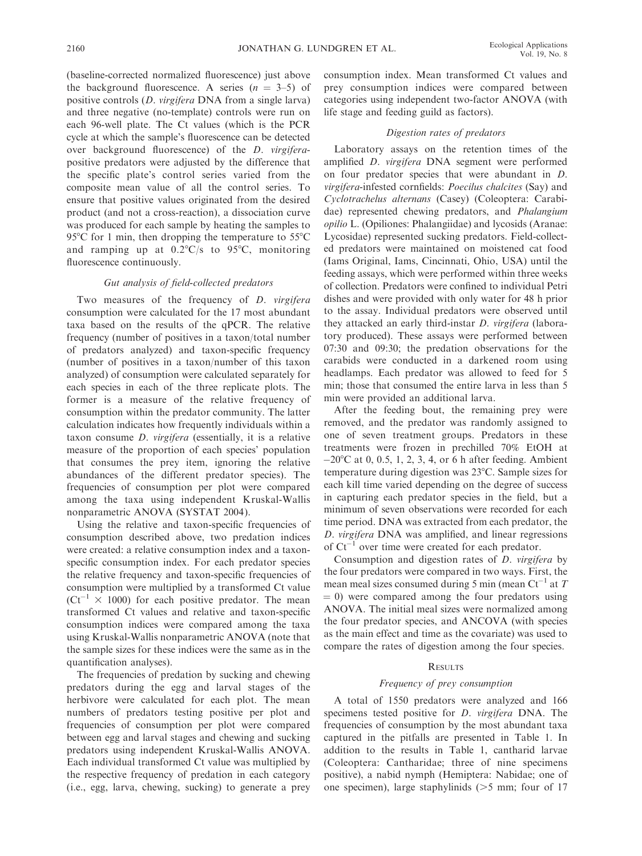(baseline-corrected normalized fluorescence) just above the background fluorescence. A series  $(n = 3-5)$  of positive controls (D. virgifera DNA from a single larva) and three negative (no-template) controls were run on each 96-well plate. The Ct values (which is the PCR cycle at which the sample's fluorescence can be detected over background fluorescence) of the D. virgiferapositive predators were adjusted by the difference that the specific plate's control series varied from the composite mean value of all the control series. To ensure that positive values originated from the desired product (and not a cross-reaction), a dissociation curve was produced for each sample by heating the samples to 95 $\degree$ C for 1 min, then dropping the temperature to 55 $\degree$ C and ramping up at  $0.2^{\circ}C/s$  to 95 $^{\circ}C$ , monitoring fluorescence continuously.

# Gut analysis of field-collected predators

Two measures of the frequency of D. virgifera consumption were calculated for the 17 most abundant taxa based on the results of the qPCR. The relative frequency (number of positives in a taxon/total number of predators analyzed) and taxon-specific frequency (number of positives in a taxon/number of this taxon analyzed) of consumption were calculated separately for each species in each of the three replicate plots. The former is a measure of the relative frequency of consumption within the predator community. The latter calculation indicates how frequently individuals within a taxon consume D. virgifera (essentially, it is a relative measure of the proportion of each species' population that consumes the prey item, ignoring the relative abundances of the different predator species). The frequencies of consumption per plot were compared among the taxa using independent Kruskal-Wallis nonparametric ANOVA (SYSTAT 2004).

Using the relative and taxon-specific frequencies of consumption described above, two predation indices were created: a relative consumption index and a taxonspecific consumption index. For each predator species the relative frequency and taxon-specific frequencies of consumption were multiplied by a transformed Ct value  $(Ct^{-1} \times 1000)$  for each positive predator. The mean transformed Ct values and relative and taxon-specific consumption indices were compared among the taxa using Kruskal-Wallis nonparametric ANOVA (note that the sample sizes for these indices were the same as in the quantification analyses).

The frequencies of predation by sucking and chewing predators during the egg and larval stages of the herbivore were calculated for each plot. The mean numbers of predators testing positive per plot and frequencies of consumption per plot were compared between egg and larval stages and chewing and sucking predators using independent Kruskal-Wallis ANOVA. Each individual transformed Ct value was multiplied by the respective frequency of predation in each category (i.e., egg, larva, chewing, sucking) to generate a prey

consumption index. Mean transformed Ct values and prey consumption indices were compared between categories using independent two-factor ANOVA (with life stage and feeding guild as factors).

### Digestion rates of predators

Laboratory assays on the retention times of the amplified D. virgifera DNA segment were performed on four predator species that were abundant in D. virgifera-infested cornfields: Poecilus chalcites (Say) and Cyclotrachelus alternans (Casey) (Coleoptera: Carabidae) represented chewing predators, and Phalangium opilio L. (Opiliones: Phalangiidae) and lycosids (Aranae: Lycosidae) represented sucking predators. Field-collected predators were maintained on moistened cat food (Iams Original, Iams, Cincinnati, Ohio, USA) until the feeding assays, which were performed within three weeks of collection. Predators were confined to individual Petri dishes and were provided with only water for 48 h prior to the assay. Individual predators were observed until they attacked an early third-instar D. virgifera (laboratory produced). These assays were performed between 07:30 and 09:30; the predation observations for the carabids were conducted in a darkened room using headlamps. Each predator was allowed to feed for 5 min; those that consumed the entire larva in less than 5 min were provided an additional larva.

After the feeding bout, the remaining prey were removed, and the predator was randomly assigned to one of seven treatment groups. Predators in these treatments were frozen in prechilled 70% EtOH at  $-20^{\circ}$ C at 0, 0.5, 1, 2, 3, 4, or 6 h after feeding. Ambient temperature during digestion was  $23^{\circ}$ C. Sample sizes for each kill time varied depending on the degree of success in capturing each predator species in the field, but a minimum of seven observations were recorded for each time period. DNA was extracted from each predator, the D. virgifera DNA was amplified, and linear regressions of  $Ct^{-1}$  over time were created for each predator.

Consumption and digestion rates of D. virgifera by the four predators were compared in two ways. First, the mean meal sizes consumed during 5 min (mean  $\text{Ct}^{-1}$  at T  $(0, 0)$  were compared among the four predators using ANOVA. The initial meal sizes were normalized among the four predator species, and ANCOVA (with species as the main effect and time as the covariate) was used to compare the rates of digestion among the four species.

#### RESULTS

#### Frequency of prey consumption

A total of 1550 predators were analyzed and 166 specimens tested positive for D. virgifera DNA. The frequencies of consumption by the most abundant taxa captured in the pitfalls are presented in Table 1. In addition to the results in Table 1, cantharid larvae (Coleoptera: Cantharidae; three of nine specimens positive), a nabid nymph (Hemiptera: Nabidae; one of one specimen), large staphylinids  $(>5$  mm; four of 17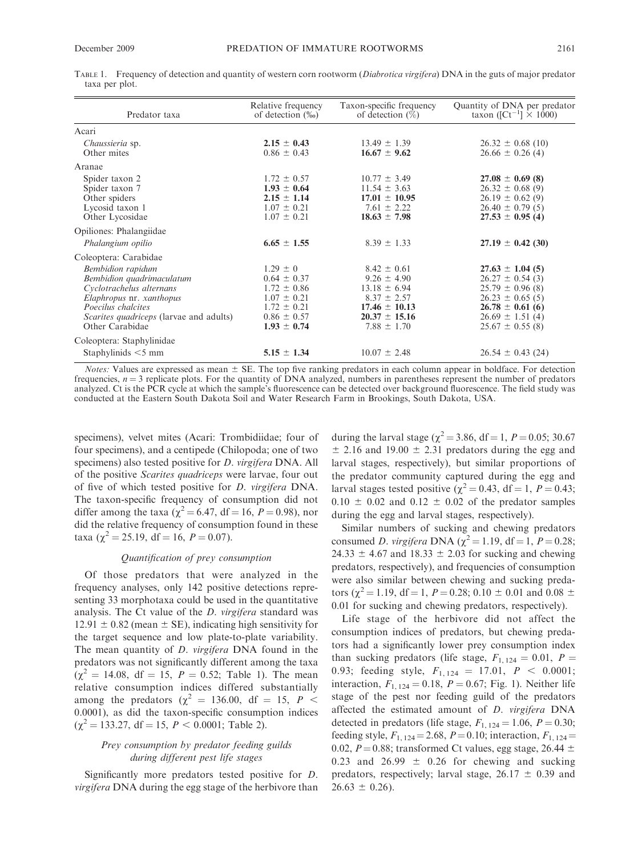| Predator taxa                                                                                                                                                                                     | Relative frequency<br>of detection $(\%_0)$                                                                                    | Taxon-specific frequency<br>of detection $(\%)$                                                                                        | Quantity of DNA per predator<br>taxon ( $[Ct^{-1}] \times 1000$ )                                                                                                  |
|---------------------------------------------------------------------------------------------------------------------------------------------------------------------------------------------------|--------------------------------------------------------------------------------------------------------------------------------|----------------------------------------------------------------------------------------------------------------------------------------|--------------------------------------------------------------------------------------------------------------------------------------------------------------------|
| Acari                                                                                                                                                                                             |                                                                                                                                |                                                                                                                                        |                                                                                                                                                                    |
| Chaussieria sp.<br>Other mites                                                                                                                                                                    | $2.15 \pm 0.43$<br>$0.86 \pm 0.43$                                                                                             | $13.49 \pm 1.39$<br>$16.67 \pm 9.62$                                                                                                   | $26.32 \pm 0.68$ (10)<br>$26.66 \pm 0.26$ (4)                                                                                                                      |
| Aranae                                                                                                                                                                                            |                                                                                                                                |                                                                                                                                        |                                                                                                                                                                    |
| Spider taxon 2<br>Spider taxon 7<br>Other spiders<br>Lycosid taxon 1<br>Other Lycosidae                                                                                                           | $1.72 \pm 0.57$<br>$1.93 \pm 0.64$<br>$2.15 \pm 1.14$<br>$1.07 \pm 0.21$<br>$1.07 \pm 0.21$                                    | $10.77 \pm 3.49$<br>$11.54 \pm 3.63$<br>$17.01 \pm 10.95$<br>$7.61 \pm 2.22$<br>$18.63 \pm 7.98$                                       | $27.08 \pm 0.69$ (8)<br>$26.32 \pm 0.68$ (9)<br>$26.19 \pm 0.62(9)$<br>$26.40 \pm 0.79$ (5)<br>$27.53 \pm 0.95$ (4)                                                |
| Opiliones: Phalangiidae                                                                                                                                                                           |                                                                                                                                |                                                                                                                                        |                                                                                                                                                                    |
| Phalangium opilio                                                                                                                                                                                 | $6.65 \pm 1.55$                                                                                                                | $8.39 \pm 1.33$                                                                                                                        | $27.19 \pm 0.42$ (30)                                                                                                                                              |
| Coleoptera: Carabidae                                                                                                                                                                             |                                                                                                                                |                                                                                                                                        |                                                                                                                                                                    |
| Bembidion rapidum<br>Bembidion quadrimaculatum<br>Cyclotrachelus alternans<br>Elaphropus nr. xanthopus<br>Poecilus chalcites<br><i>Scarites quadriceps</i> (larvae and adults)<br>Other Carabidae | $1.29 \pm 0$<br>$0.64 \pm 0.37$<br>$1.72 \pm 0.86$<br>$1.07 \pm 0.21$<br>$1.72 \pm 0.21$<br>$0.86 \pm 0.57$<br>$1.93 \pm 0.74$ | $8.42 \pm 0.61$<br>$9.26 \pm 4.90$<br>$13.18 \pm 6.94$<br>$8.37 \pm 2.57$<br>$17.46 \pm 10.13$<br>$20.37 \pm 15.16$<br>$7.88 \pm 1.70$ | $27.63 \pm 1.04$ (5)<br>$26.27 \pm 0.54$ (3)<br>$25.79 \pm 0.96$ (8)<br>$26.23 \pm 0.65$ (5)<br>$26.78 \pm 0.61(6)$<br>$26.69 \pm 1.51(4)$<br>$25.67 \pm 0.55$ (8) |
| Coleoptera: Staphylinidae                                                                                                                                                                         |                                                                                                                                |                                                                                                                                        |                                                                                                                                                                    |
| Staphylinids $<$ 5 mm                                                                                                                                                                             | $5.15 \pm 1.34$                                                                                                                | $10.07 \pm 2.48$                                                                                                                       | $26.54 \pm 0.43$ (24)                                                                                                                                              |

TABLE 1. Frequency of detection and quantity of western corn rootworm (Diabrotica virgifera) DNA in the guts of major predator taxa per plot.

specimens), velvet mites (Acari: Trombidiidae; four of four specimens), and a centipede (Chilopoda; one of two specimens) also tested positive for *D. virgifera* DNA. All of the positive Scarites quadriceps were larvae, four out of five of which tested positive for D. virgifera DNA. The taxon-specific frequency of consumption did not differ among the taxa ( $\chi^2$  = 6.47, df = 16, P = 0.98), nor did the relative frequency of consumption found in these taxa ( $\chi^2$  = 25.19, df = 16, P = 0.07).

# Quantification of prey consumption

Of those predators that were analyzed in the frequency analyses, only 142 positive detections representing 33 morphotaxa could be used in the quantitative analysis. The Ct value of the D. virgifera standard was  $12.91 \pm 0.82$  (mean  $\pm$  SE), indicating high sensitivity for the target sequence and low plate-to-plate variability. The mean quantity of *D. virgifera* DNA found in the predators was not significantly different among the taxa  $(\chi^2 = 14.08, df = 15, P = 0.52;$  Table 1). The mean relative consumption indices differed substantially among the predators ( $\chi^2$  = 136.00, df = 15, P < 0.0001), as did the taxon-specific consumption indices  $(\chi^2 = 133.27, df = 15, P < 0.0001;$  Table 2).

# Prey consumption by predator feeding guilds during different pest life stages

Significantly more predators tested positive for D. virgifera DNA during the egg stage of the herbivore than during the larval stage ( $\chi^2$  = 3.86, df = 1, P = 0.05; 30.67  $\pm$  2.16 and 19.00  $\pm$  2.31 predators during the egg and larval stages, respectively), but similar proportions of the predator community captured during the egg and larval stages tested positive ( $\chi^2 = 0.43$ , df = 1, P = 0.43;  $0.10 \pm 0.02$  and  $0.12 \pm 0.02$  of the predator samples during the egg and larval stages, respectively).

Similar numbers of sucking and chewing predators consumed D. virgifera DNA ( $\chi^2$  = 1.19, df = 1, P = 0.28; 24.33  $\pm$  4.67 and 18.33  $\pm$  2.03 for sucking and chewing predators, respectively), and frequencies of consumption were also similar between chewing and sucking predators ( $\chi^2$  = 1.19, df = 1, P = 0.28; 0.10  $\pm$  0.01 and 0.08  $\pm$ 0.01 for sucking and chewing predators, respectively).

Life stage of the herbivore did not affect the consumption indices of predators, but chewing predators had a significantly lower prey consumption index than sucking predators (life stage,  $F_{1,124} = 0.01$ ,  $P =$ 0.93; feeding style,  $F_{1,124} = 17.01, P < 0.0001;$ interaction,  $F_{1, 124} = 0.18$ ,  $P = 0.67$ ; Fig. 1). Neither life stage of the pest nor feeding guild of the predators affected the estimated amount of D. virgifera DNA detected in predators (life stage,  $F_{1, 124} = 1.06$ ,  $P = 0.30$ ; feeding style,  $F_{1, 124} = 2.68$ ,  $P = 0.10$ ; interaction,  $F_{1, 124} =$ 0.02,  $P = 0.88$ ; transformed Ct values, egg stage, 26.44  $\pm$ 0.23 and 26.99  $\pm$  0.26 for chewing and sucking predators, respectively; larval stage,  $26.17 \pm 0.39$  and  $26.63 \pm 0.26$ .

Notes: Values are expressed as mean  $\pm$  SE. The top five ranking predators in each column appear in boldface. For detection frequencies,  $n = 3$  replicate plots. For the quantity of DNA analyzed, numbers in parentheses represent the number of predators analyzed. Ct is the PCR cycle at which the sample's fluorescence can be detected over background fluorescence. The field study was conducted at the Eastern South Dakota Soil and Water Research Farm in Brookings, South Dakota, USA.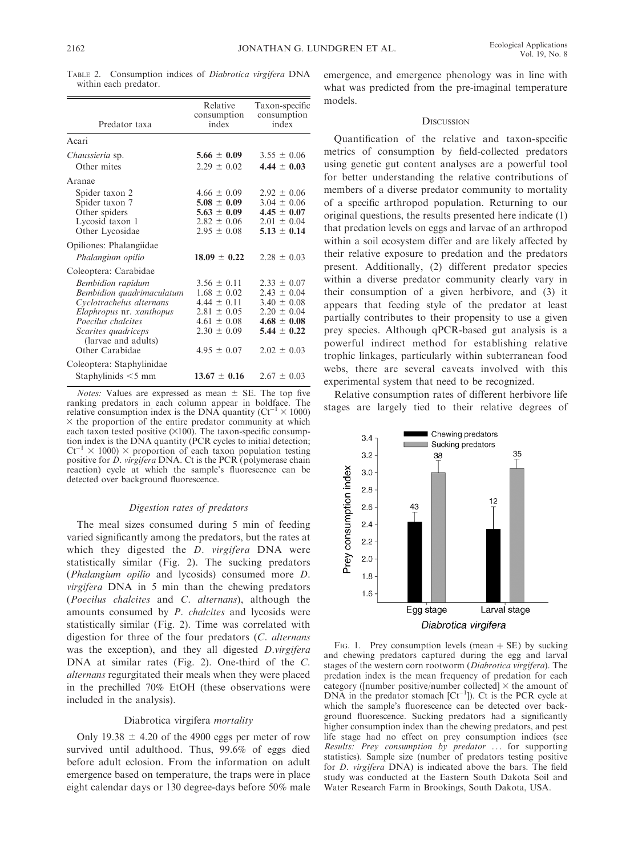| Predator taxa                                                                                                                                                                                                          | Relative<br>consumption<br>index                                                                                                  | Taxon-specific<br>consumption<br>index                                                                                            |
|------------------------------------------------------------------------------------------------------------------------------------------------------------------------------------------------------------------------|-----------------------------------------------------------------------------------------------------------------------------------|-----------------------------------------------------------------------------------------------------------------------------------|
| Acari                                                                                                                                                                                                                  |                                                                                                                                   |                                                                                                                                   |
| Chaussieria sp.<br>Other mites                                                                                                                                                                                         | $5.66 \pm 0.09$<br>$2.29 \pm 0.02$                                                                                                | $3.55 \pm 0.06$<br>$4.44 \pm 0.03$                                                                                                |
| Aranae<br>Spider taxon 2<br>Spider taxon 7<br>Other spiders<br>Lycosid taxon 1<br>Other Lycosidae                                                                                                                      | $4.66 \pm 0.09$<br>$5.08 \pm 0.09$<br>$5.63 \pm 0.09$<br>$2.82 \pm 0.06$<br>$2.95 \pm 0.08$                                       | $2.92 \pm 0.06$<br>$3.04 \pm 0.06$<br>$4.45 \pm 0.07$<br>$2.01 \pm 0.04$<br>$5.13 \pm 0.14$                                       |
| Opiliones: Phalangiidae<br>Phalangium opilio                                                                                                                                                                           | $18.09 \pm 0.22$                                                                                                                  | $2.28 \pm 0.03$                                                                                                                   |
| Coleoptera: Carabidae<br>Bembidion rapidum<br>Bembidion quadrimaculatum<br>Cyclotrachelus alternans<br>Elaphropus nr. xanthopus<br>Poecilus chalcites<br>Scarites quadriceps<br>(larvae and adults)<br>Other Carabidae | $3.56 \pm 0.11$<br>$1.68 \pm 0.02$<br>$4.44 \pm 0.11$<br>$2.81 \pm 0.05$<br>$4.61 \pm 0.08$<br>$2.30 \pm 0.09$<br>$4.95 \pm 0.07$ | $2.33 \pm 0.07$<br>$2.43 \pm 0.04$<br>$3.40 \pm 0.08$<br>$2.20 \pm 0.04$<br>$4.68 \pm 0.08$<br>$5.44 \pm 0.22$<br>$2.02 \pm 0.03$ |
| Coleoptera: Staphylinidae<br>Staphylinids $<$ 5 mm                                                                                                                                                                     | $13.67 \pm 0.16$                                                                                                                  | $2.67 \pm 0.03$                                                                                                                   |

TABLE 2. Consumption indices of Diabrotica virgifera DNA within each predator.

*Notes:* Values are expressed as mean  $\pm$  SE. The top five ranking predators in each column appear in boldface. The relative consumption index is the DNA quantity ( $Ct^{-1} \times 1000$ )  $\times$  the proportion of the entire predator community at which each taxon tested positive  $(\times 100)$ . The taxon-specific consumption index is the DNA quantity (PCR cycles to initial detection;  $Ct^{-1} \times 1000$ )  $\times$  proportion of each taxon population testing positive for  $\dot{D}$ . virgifera DNA. Ct is the PCR (polymerase chain reaction) cycle at which the sample's fluorescence can be detected over background fluorescence.

#### Digestion rates of predators

The meal sizes consumed during 5 min of feeding varied significantly among the predators, but the rates at which they digested the *D. virgifera* DNA were statistically similar (Fig. 2). The sucking predators (Phalangium opilio and lycosids) consumed more D. virgifera DNA in 5 min than the chewing predators (Poecilus chalcites and C. alternans), although the amounts consumed by P. chalcites and lycosids were statistically similar (Fig. 2). Time was correlated with digestion for three of the four predators (C. alternans was the exception), and they all digested D.virgifera DNA at similar rates (Fig. 2). One-third of the C. alternans regurgitated their meals when they were placed in the prechilled 70% EtOH (these observations were included in the analysis).

#### Diabrotica virgifera mortality

Only 19.38  $\pm$  4.20 of the 4900 eggs per meter of row survived until adulthood. Thus, 99.6% of eggs died before adult eclosion. From the information on adult emergence based on temperature, the traps were in place eight calendar days or 130 degree-days before 50% male

emergence, and emergence phenology was in line with what was predicted from the pre-imaginal temperature models.

#### **DISCUSSION**

Quantification of the relative and taxon-specific metrics of consumption by field-collected predators using genetic gut content analyses are a powerful tool for better understanding the relative contributions of members of a diverse predator community to mortality of a specific arthropod population. Returning to our original questions, the results presented here indicate (1) that predation levels on eggs and larvae of an arthropod within a soil ecosystem differ and are likely affected by their relative exposure to predation and the predators present. Additionally, (2) different predator species within a diverse predator community clearly vary in their consumption of a given herbivore, and (3) it appears that feeding style of the predator at least partially contributes to their propensity to use a given prey species. Although qPCR-based gut analysis is a powerful indirect method for establishing relative trophic linkages, particularly within subterranean food webs, there are several caveats involved with this experimental system that need to be recognized.

Relative consumption rates of different herbivore life stages are largely tied to their relative degrees of



FIG. 1. Prey consumption levels (mean  $+$  SE) by sucking and chewing predators captured during the egg and larval stages of the western corn rootworm (Diabrotica virgifera). The predation index is the mean frequency of predation for each category ([number positive/number collected]  $\times$  the amount of DNA in the predator stomach [Ct<sup>-1</sup>]). Ct is the PCR cycle at which the sample's fluorescence can be detected over background fluorescence. Sucking predators had a significantly higher consumption index than the chewing predators, and pest life stage had no effect on prey consumption indices (see Results: Prey consumption by predator ... for supporting statistics). Sample size (number of predators testing positive for D. virgifera DNA) is indicated above the bars. The field study was conducted at the Eastern South Dakota Soil and Water Research Farm in Brookings, South Dakota, USA.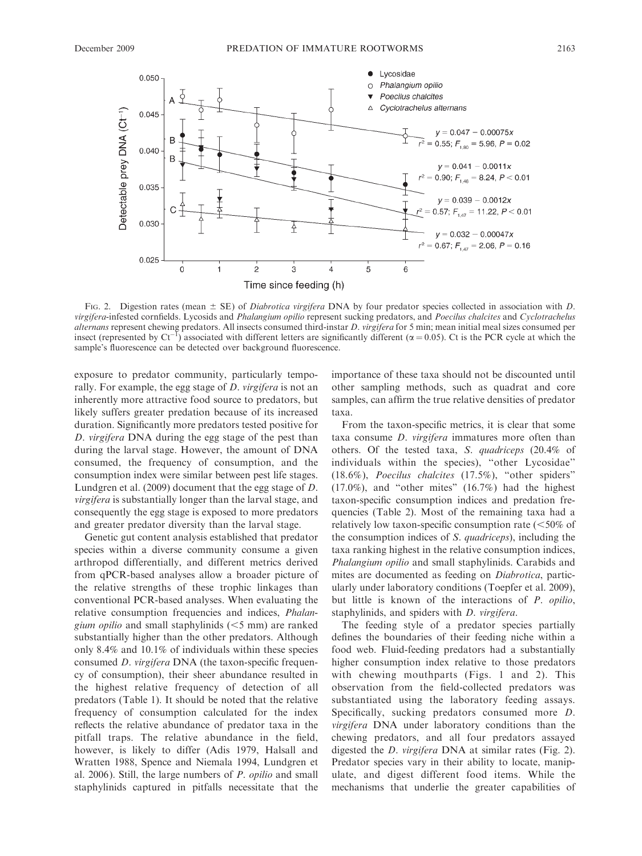

FIG. 2. Digestion rates (mean  $\pm$  SE) of *Diabrotica virgifera* DNA by four predator species collected in association with D. virgifera-infested cornfields. Lycosids and Phalangium opilio represent sucking predators, and Poecilus chalcites and Cyclotrachelus alternans represent chewing predators. All insects consumed third-instar D. virgifera for 5 min; mean initial meal sizes consumed per insect (represented by Ct<sup>-T</sup>) associated with different letters are significantly different ( $\alpha$  = 0.05). Ct is the PCR cycle at which the sample's fluorescence can be detected over background fluorescence.

exposure to predator community, particularly temporally. For example, the egg stage of D. virgifera is not an inherently more attractive food source to predators, but likely suffers greater predation because of its increased duration. Significantly more predators tested positive for D. virgifera DNA during the egg stage of the pest than during the larval stage. However, the amount of DNA consumed, the frequency of consumption, and the consumption index were similar between pest life stages. Lundgren et al. (2009) document that the egg stage of D. virgifera is substantially longer than the larval stage, and consequently the egg stage is exposed to more predators and greater predator diversity than the larval stage.

Genetic gut content analysis established that predator species within a diverse community consume a given arthropod differentially, and different metrics derived from qPCR-based analyses allow a broader picture of the relative strengths of these trophic linkages than conventional PCR-based analyses. When evaluating the relative consumption frequencies and indices, Phalangium opilio and small staphylinids  $(<5$  mm) are ranked substantially higher than the other predators. Although only 8.4% and 10.1% of individuals within these species consumed D. virgifera DNA (the taxon-specific frequency of consumption), their sheer abundance resulted in the highest relative frequency of detection of all predators (Table 1). It should be noted that the relative frequency of consumption calculated for the index reflects the relative abundance of predator taxa in the pitfall traps. The relative abundance in the field, however, is likely to differ (Adis 1979, Halsall and Wratten 1988, Spence and Niemala 1994, Lundgren et al. 2006). Still, the large numbers of P. opilio and small staphylinids captured in pitfalls necessitate that the importance of these taxa should not be discounted until other sampling methods, such as quadrat and core samples, can affirm the true relative densities of predator taxa.

From the taxon-specific metrics, it is clear that some taxa consume D. virgifera immatures more often than others. Of the tested taxa, S. quadriceps (20.4% of individuals within the species), ''other Lycosidae'' (18.6%), Poecilus chalcites (17.5%), ''other spiders''  $(17.0\%)$ , and "other mites"  $(16.7\%)$  had the highest taxon-specific consumption indices and predation frequencies (Table 2). Most of the remaining taxa had a relatively low taxon-specific consumption rate  $(< 50\%$  of the consumption indices of S. quadriceps), including the taxa ranking highest in the relative consumption indices, Phalangium opilio and small staphylinids. Carabids and mites are documented as feeding on Diabrotica, particularly under laboratory conditions (Toepfer et al. 2009), but little is known of the interactions of P. opilio, staphylinids, and spiders with *D. virgifera*.

The feeding style of a predator species partially defines the boundaries of their feeding niche within a food web. Fluid-feeding predators had a substantially higher consumption index relative to those predators with chewing mouthparts (Figs. 1 and 2). This observation from the field-collected predators was substantiated using the laboratory feeding assays. Specifically, sucking predators consumed more D. virgifera DNA under laboratory conditions than the chewing predators, and all four predators assayed digested the D. virgifera DNA at similar rates (Fig. 2). Predator species vary in their ability to locate, manipulate, and digest different food items. While the mechanisms that underlie the greater capabilities of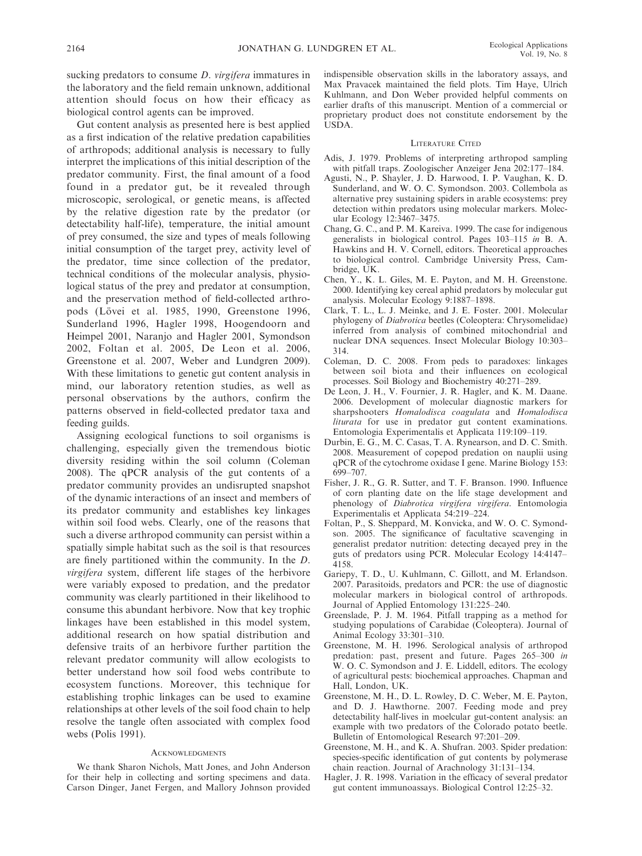sucking predators to consume *D. virgifera* immatures in the laboratory and the field remain unknown, additional attention should focus on how their efficacy as biological control agents can be improved.

Gut content analysis as presented here is best applied as a first indication of the relative predation capabilities of arthropods; additional analysis is necessary to fully interpret the implications of this initial description of the predator community. First, the final amount of a food found in a predator gut, be it revealed through microscopic, serological, or genetic means, is affected by the relative digestion rate by the predator (or detectability half-life), temperature, the initial amount of prey consumed, the size and types of meals following initial consumption of the target prey, activity level of the predator, time since collection of the predator, technical conditions of the molecular analysis, physiological status of the prey and predator at consumption, and the preservation method of field-collected arthropods (Lövei et al. 1985, 1990, Greenstone 1996, Sunderland 1996, Hagler 1998, Hoogendoorn and Heimpel 2001, Naranjo and Hagler 2001, Symondson 2002, Foltan et al. 2005, De Leon et al. 2006, Greenstone et al. 2007, Weber and Lundgren 2009). With these limitations to genetic gut content analysis in mind, our laboratory retention studies, as well as personal observations by the authors, confirm the patterns observed in field-collected predator taxa and feeding guilds.

Assigning ecological functions to soil organisms is challenging, especially given the tremendous biotic diversity residing within the soil column (Coleman 2008). The qPCR analysis of the gut contents of a predator community provides an undisrupted snapshot of the dynamic interactions of an insect and members of its predator community and establishes key linkages within soil food webs. Clearly, one of the reasons that such a diverse arthropod community can persist within a spatially simple habitat such as the soil is that resources are finely partitioned within the community. In the D. virgifera system, different life stages of the herbivore were variably exposed to predation, and the predator community was clearly partitioned in their likelihood to consume this abundant herbivore. Now that key trophic linkages have been established in this model system, additional research on how spatial distribution and defensive traits of an herbivore further partition the relevant predator community will allow ecologists to better understand how soil food webs contribute to ecosystem functions. Moreover, this technique for establishing trophic linkages can be used to examine relationships at other levels of the soil food chain to help resolve the tangle often associated with complex food webs (Polis 1991).

#### **ACKNOWLEDGMENTS**

We thank Sharon Nichols, Matt Jones, and John Anderson for their help in collecting and sorting specimens and data. Carson Dinger, Janet Fergen, and Mallory Johnson provided indispensible observation skills in the laboratory assays, and Max Pravacek maintained the field plots. Tim Haye, Ulrich Kuhlmann, and Don Weber provided helpful comments on earlier drafts of this manuscript. Mention of a commercial or proprietary product does not constitute endorsement by the USDA.

#### LITERATURE CITED

- Adis, J. 1979. Problems of interpreting arthropod sampling with pitfall traps. Zoologischer Anzeiger Jena 202:177–184.
- Agusti, N., P. Shayler, J. D. Harwood, I. P. Vaughan, K. D. Sunderland, and W. O. C. Symondson. 2003. Collembola as alternative prey sustaining spiders in arable ecosystems: prey detection within predators using molecular markers. Molecular Ecology 12:3467–3475.
- Chang, G. C., and P. M. Kareiva. 1999. The case for indigenous generalists in biological control. Pages 103–115 in B. A. Hawkins and H. V. Cornell, editors. Theoretical approaches to biological control. Cambridge University Press, Cambridge, UK.
- Chen, Y., K. L. Giles, M. E. Payton, and M. H. Greenstone. 2000. Identifying key cereal aphid predators by molecular gut analysis. Molecular Ecology 9:1887–1898.
- Clark, T. L., L. J. Meinke, and J. E. Foster. 2001. Molecular phylogeny of Diabrotica beetles (Coleoptera: Chrysomelidae) inferred from analysis of combined mitochondrial and nuclear DNA sequences. Insect Molecular Biology 10:303– 314.
- Coleman, D. C. 2008. From peds to paradoxes: linkages between soil biota and their influences on ecological processes. Soil Biology and Biochemistry 40:271–289.
- De Leon, J. H., V. Fournier, J. R. Hagler, and K. M. Daane. 2006. Development of molecular diagnostic markers for sharpshooters Homalodisca coagulata and Homalodisca liturata for use in predator gut content examinations. Entomologia Experimentalis et Applicata 119:109–119.
- Durbin, E. G., M. C. Casas, T. A. Rynearson, and D. C. Smith. 2008. Measurement of copepod predation on nauplii using qPCR of the cytochrome oxidase I gene. Marine Biology 153: 699–707.
- Fisher, J. R., G. R. Sutter, and T. F. Branson. 1990. Influence of corn planting date on the life stage development and phenology of Diabrotica virgifera virgifera. Entomologia Experimentalis et Applicata 54:219–224.
- Foltan, P., S. Sheppard, M. Konvicka, and W. O. C. Symondson. 2005. The significance of facultative scavenging in generalist predator nutrition: detecting decayed prey in the guts of predators using PCR. Molecular Ecology 14:4147– 4158.
- Gariepy, T. D., U. Kuhlmann, C. Gillott, and M. Erlandson. 2007. Parasitoids, predators and PCR: the use of diagnostic molecular markers in biological control of arthropods. Journal of Applied Entomology 131:225–240.
- Greenslade, P. J. M. 1964. Pitfall trapping as a method for studying populations of Carabidae (Coleoptera). Journal of Animal Ecology 33:301–310.
- Greenstone, M. H. 1996. Serological analysis of arthropod predation: past, present and future. Pages 265–300 in W. O. C. Symondson and J. E. Liddell, editors. The ecology of agricultural pests: biochemical approaches. Chapman and Hall, London, UK.
- Greenstone, M. H., D. L. Rowley, D. C. Weber, M. E. Payton, and D. J. Hawthorne. 2007. Feeding mode and prey detectability half-lives in moelcular gut-content analysis: an example with two predators of the Colorado potato beetle. Bulletin of Entomological Research 97:201–209.
- Greenstone, M. H., and K. A. Shufran. 2003. Spider predation: species-specific identification of gut contents by polymerase chain reaction. Journal of Arachnology 31:131–134.
- Hagler, J. R. 1998. Variation in the efficacy of several predator gut content immunoassays. Biological Control 12:25–32.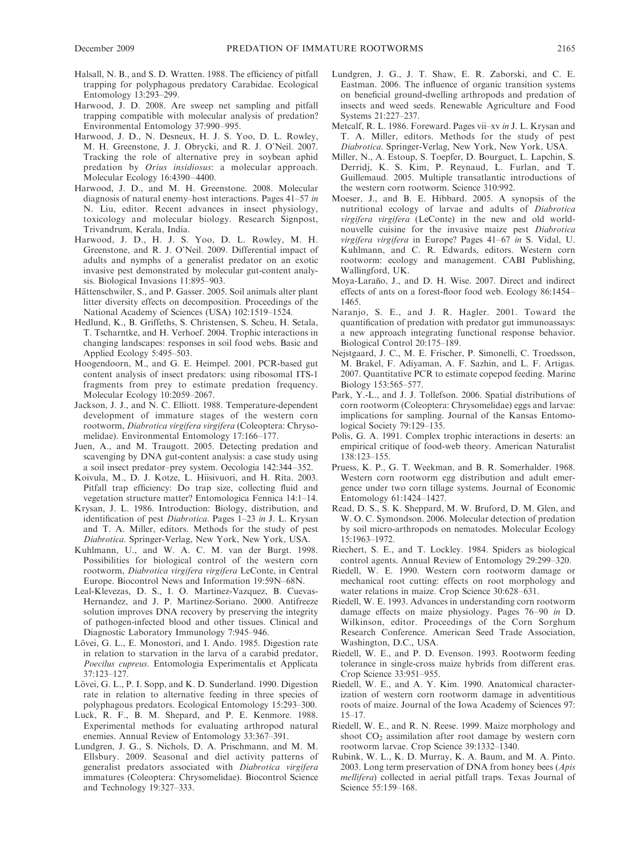- Halsall, N. B., and S. D. Wratten. 1988. The efficiency of pitfall trapping for polyphagous predatory Carabidae. Ecological Entomology 13:293–299.
- Harwood, J. D. 2008. Are sweep net sampling and pitfall trapping compatible with molecular analysis of predation? Environmental Entomology 37:990–995.
- Harwood, J. D., N. Desneux, H. J. S. Yoo, D. L. Rowley, M. H. Greenstone, J. J. Obrycki, and R. J. O'Neil. 2007. Tracking the role of alternative prey in soybean aphid predation by Orius insidiosus: a molecular approach. Molecular Ecology 16:4390–4400.
- Harwood, J. D., and M. H. Greenstone. 2008. Molecular diagnosis of natural enemy–host interactions. Pages 41–57 in N. Liu, editor. Recent advances in insect physiology, toxicology and molecular biology. Research Signpost, Trivandrum, Kerala, India.
- Harwood, J. D., H. J. S. Yoo, D. L. Rowley, M. H. Greenstone, and R. J. O'Neil. 2009. Differential impact of adults and nymphs of a generalist predator on an exotic invasive pest demonstrated by molecular gut-content analysis. Biological Invasions 11:895–903.
- Hättenschwiler, S., and P. Gasser. 2005. Soil animals alter plant litter diversity effects on decomposition. Proceedings of the National Academy of Sciences (USA) 102:1519–1524.
- Hedlund, K., B. Griffeths, S. Christensen, S. Scheu, H. Setala, T. Tscharntke, and H. Verhoef. 2004. Trophic interactions in changing landscapes: responses in soil food webs. Basic and Applied Ecology 5:495–503.
- Hoogendoorn, M., and G. E. Heimpel. 2001. PCR-based gut content analysis of insect predators: using ribosomal ITS-1 fragments from prey to estimate predation frequency. Molecular Ecology 10:2059–2067.
- Jackson, J. J., and N. C. Elliott. 1988. Temperature-dependent development of immature stages of the western corn rootworm, Diabrotica virgifera virgifera (Coleoptera: Chrysomelidae). Environmental Entomology 17:166–177.
- Juen, A., and M. Traugott. 2005. Detecting predation and scavenging by DNA gut-content analysis: a case study using a soil insect predator–prey system. Oecologia 142:344–352.
- Koivula, M., D. J. Kotze, L. Hiisivuori, and H. Rita. 2003. Pitfall trap efficiency: Do trap size, collecting fluid and vegetation structure matter? Entomologica Fennica 14:1–14.
- Krysan, J. L. 1986. Introduction: Biology, distribution, and identification of pest Diabrotica. Pages 1–23 in J. L. Krysan and T. A. Miller, editors. Methods for the study of pest Diabrotica. Springer-Verlag, New York, New York, USA.
- Kuhlmann, U., and W. A. C. M. van der Burgt. 1998. Possibilities for biological control of the western corn rootworm, Diabrotica virgifera virgifera LeConte, in Central Europe. Biocontrol News and Information 19:59N–68N.
- Leal-Klevezas, D. S., I. O. Martinez-Vazquez, B. Cuevas-Hernandez, and J. P. Martinez-Soriano. 2000. Antifreeze solution improves DNA recovery by preserving the integrity of pathogen-infected blood and other tissues. Clinical and Diagnostic Laboratory Immunology 7:945–946.
- Lövei, G. L., E. Monostori, and I. Ando. 1985. Digestion rate in relation to starvation in the larva of a carabid predator, Poecilus cupreus. Entomologia Experimentalis et Applicata 37:123–127.
- Lövei, G. L., P. I. Sopp, and K. D. Sunderland. 1990. Digestion rate in relation to alternative feeding in three species of polyphagous predators. Ecological Entomology 15:293–300.
- Luck, R. F., B. M. Shepard, and P. E. Kenmore. 1988. Experimental methods for evaluating arthropod natural enemies. Annual Review of Entomology 33:367–391.
- Lundgren, J. G., S. Nichols, D. A. Prischmann, and M. M. Ellsbury. 2009. Seasonal and diel activity patterns of generalist predators associated with Diabrotica virgifera immatures (Coleoptera: Chrysomelidae). Biocontrol Science and Technology 19:327–333.
- Lundgren, J. G., J. T. Shaw, E. R. Zaborski, and C. E. Eastman. 2006. The influence of organic transition systems on beneficial ground-dwelling arthropods and predation of insects and weed seeds. Renewable Agriculture and Food Systems 21:227–237.
- Metcalf, R. L. 1986. Foreward. Pages vii–xv in J. L. Krysan and T. A. Miller, editors. Methods for the study of pest Diabrotica. Springer-Verlag, New York, New York, USA.
- Miller, N., A. Estoup, S. Toepfer, D. Bourguet, L. Lapchin, S. Derridj, K. S. Kim, P. Reynaud, L. Furlan, and T. Guillemaud. 2005. Multiple transatlantic introductions of the western corn rootworm. Science 310:992.
- Moeser, J., and B. E. Hibbard. 2005. A synopsis of the nutritional ecology of larvae and adults of Diabrotica virgifera virgifera (LeConte) in the new and old worldnouvelle cuisine for the invasive maize pest Diabrotica virgifera virgifera in Europe? Pages 41–67 in S. Vidal, U. Kuhlmann, and C. R. Edwards, editors. Western corn rootworm: ecology and management. CABI Publishing, Wallingford, UK.
- Moya-Laraño, J., and D. H. Wise. 2007. Direct and indirect effects of ants on a forest-floor food web. Ecology 86:1454– 1465.
- Naranjo, S. E., and J. R. Hagler. 2001. Toward the quantification of predation with predator gut immunoassays: a new approach integrating functional response behavior. Biological Control 20:175–189.
- Nejstgaard, J. C., M. E. Frischer, P. Simonelli, C. Troedsson, M. Brakel, F. Adiyaman, A. F. Sazhin, and L. F. Artigas. 2007. Quantitative PCR to estimate copepod feeding. Marine Biology 153:565–577.
- Park, Y.-L., and J. J. Tollefson. 2006. Spatial distributions of corn rootworm (Coleoptera: Chrysomelidae) eggs and larvae: implications for sampling. Journal of the Kansas Entomological Society 79:129–135.
- Polis, G. A. 1991. Complex trophic interactions in deserts: an empirical critique of food-web theory. American Naturalist 138:123–155.
- Pruess, K. P., G. T. Weekman, and B. R. Somerhalder. 1968. Western corn rootworm egg distribution and adult emergence under two corn tillage systems. Journal of Economic Entomology 61:1424–1427.
- Read, D. S., S. K. Sheppard, M. W. Bruford, D. M. Glen, and W. O. C. Symondson. 2006. Molecular detection of predation by soil micro-arthropods on nematodes. Molecular Ecology 15:1963–1972.
- Riechert, S. E., and T. Lockley. 1984. Spiders as biological control agents. Annual Review of Entomology 29:299–320.
- Riedell, W. E. 1990. Western corn rootworm damage or mechanical root cutting: effects on root morphology and water relations in maize. Crop Science 30:628–631.
- Riedell, W. E. 1993. Advances in understanding corn rootworm damage effects on maize physiology. Pages 76–90 in D. Wilkinson, editor. Proceedings of the Corn Sorghum Research Conference. American Seed Trade Association, Washington, D.C., USA.
- Riedell, W. E., and P. D. Evenson. 1993. Rootworm feeding tolerance in single-cross maize hybrids from different eras. Crop Science 33:951–955.
- Riedell, W. E., and A. Y. Kim. 1990. Anatomical characterization of western corn rootworm damage in adventitious roots of maize. Journal of the Iowa Academy of Sciences 97: 15–17.
- Riedell, W. E., and R. N. Reese. 1999. Maize morphology and shoot  $CO<sub>2</sub>$  assimilation after root damage by western corn rootworm larvae. Crop Science 39:1332–1340.
- Rubink, W. L., K. D. Murray, K. A. Baum, and M. A. Pinto. 2003. Long term preservation of DNA from honey bees (Apis mellifera) collected in aerial pitfall traps. Texas Journal of Science 55:159–168.